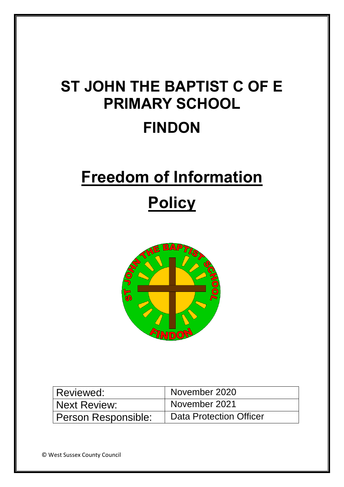# **ST JOHN THE BAPTIST C OF E PRIMARY SCHOOL FINDON**

# **Freedom of Information**

## **Policy**



| Reviewed:           | November 2020                  |
|---------------------|--------------------------------|
| Next Review:        | November 2021                  |
| Person Responsible: | <b>Data Protection Officer</b> |

© West Sussex County Council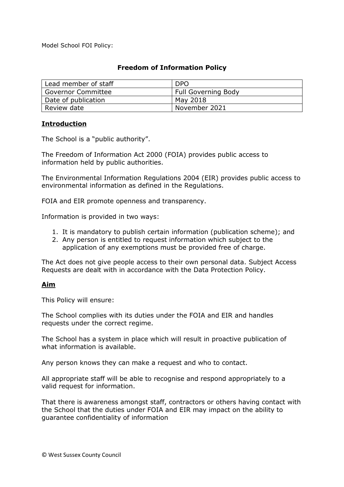Model School FOI Policy:

### **Freedom of Information Policy**

| Lead member of staff      | <b>DPO</b>                 |
|---------------------------|----------------------------|
| <b>Governor Committee</b> | <b>Full Governing Body</b> |
| Date of publication       | May 2018                   |
| Review date               | November 2021              |

#### **Introduction**

The School is a "public authority".

The Freedom of Information Act 2000 (FOIA) provides public access to information held by public authorities.

The Environmental Information Regulations 2004 (EIR) provides public access to environmental information as defined in the Regulations.

FOIA and EIR promote openness and transparency.

Information is provided in two ways:

- 1. It is mandatory to publish certain information (publication scheme); and
- 2. Any person is entitled to request information which subject to the application of any exemptions must be provided free of charge.

The Act does not give people access to their own personal data. Subject Access Requests are dealt with in accordance with the Data Protection Policy.

#### **Aim**

This Policy will ensure:

The School complies with its duties under the FOIA and EIR and handles requests under the correct regime.

The School has a system in place which will result in proactive publication of what information is available.

Any person knows they can make a request and who to contact.

All appropriate staff will be able to recognise and respond appropriately to a valid request for information.

That there is awareness amongst staff, contractors or others having contact with the School that the duties under FOIA and EIR may impact on the ability to guarantee confidentiality of information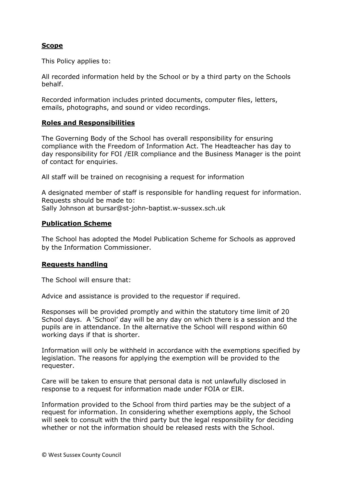### **Scope**

This Policy applies to:

All recorded information held by the School or by a third party on the Schools behalf.

Recorded information includes printed documents, computer files, letters, emails, photographs, and sound or video recordings.

#### **Roles and Responsibilities**

The Governing Body of the School has overall responsibility for ensuring compliance with the Freedom of Information Act. The Headteacher has day to day responsibility for FOI /EIR compliance and the Business Manager is the point of contact for enquiries.

All staff will be trained on recognising a request for information

A designated member of staff is responsible for handling request for information. Requests should be made to: Sally Johnson at bursar@st-john-baptist.w-sussex.sch.uk

#### **Publication Scheme**

The School has adopted the Model Publication Scheme for Schools as approved by the Information Commissioner.

#### **Requests handling**

The School will ensure that:

Advice and assistance is provided to the requestor if required.

Responses will be provided promptly and within the statutory time limit of 20 School days. A 'School' day will be any day on which there is a session and the pupils are in attendance. In the alternative the School will respond within 60 working days if that is shorter.

Information will only be withheld in accordance with the exemptions specified by legislation. The reasons for applying the exemption will be provided to the requester.

Care will be taken to ensure that personal data is not unlawfully disclosed in response to a request for information made under FOIA or EIR.

Information provided to the School from third parties may be the subject of a request for information. In considering whether exemptions apply, the School will seek to consult with the third party but the legal responsibility for deciding whether or not the information should be released rests with the School.